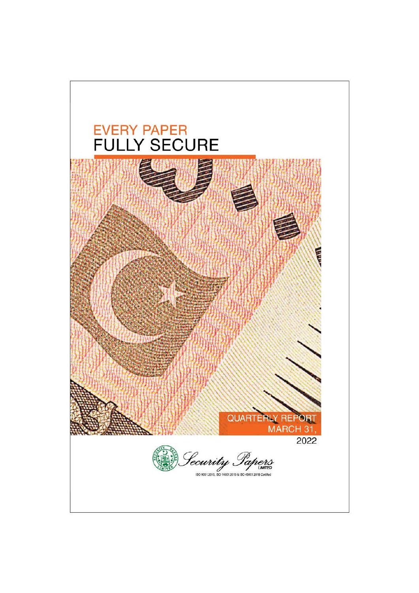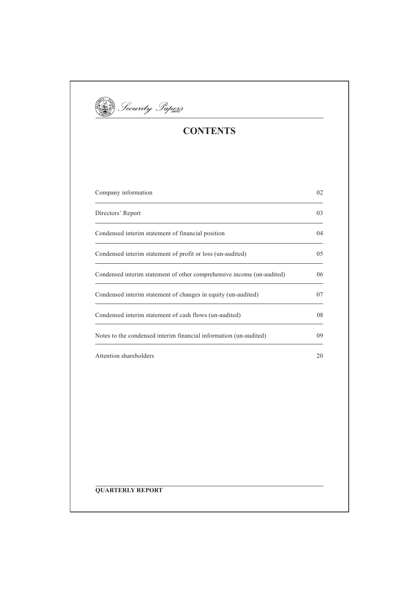

# **CONTENTS**

| Company information                                                    | 02 |
|------------------------------------------------------------------------|----|
| Directors' Report                                                      | 03 |
| Condensed interim statement of financial position                      | 04 |
| Condensed interim statement of profit or loss (un-audited)             | 05 |
| Condensed interim statement of other comprehensive income (un-audited) | 06 |
| Condensed interim statement of changes in equity (un-audited)          | 07 |
| Condensed interim statement of cash flows (un-audited)                 | 08 |
| Notes to the condensed interim financial information (un-audited)      | 09 |
| Attention shareholders                                                 | 20 |
|                                                                        |    |
|                                                                        |    |
|                                                                        |    |
|                                                                        |    |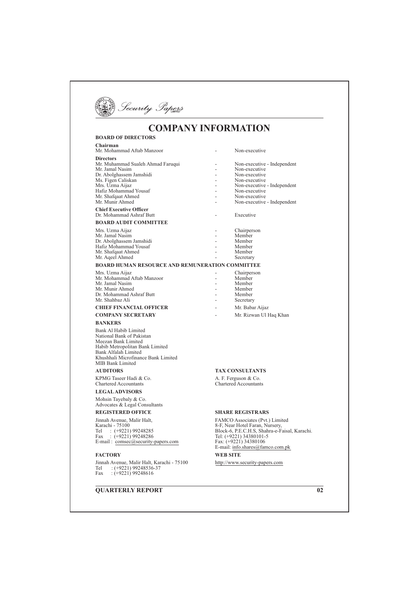

# **COMPANY INFORMATION**

#### **BOARD OF DIRECTORS** Chairman Mr. Mohammad Aftab Manzoor Non-executive  $\overline{a}$ **Directors** Mr. Muhammad Sualeh Ahmad Faruqui Non-executive - Independent Mr. Jamal Nasim<br>Dr. Abolghassem Jamshidi Non-executive  $\overline{a}$ Non-executive Ms. Figen Caliskan Non-executive Mrs. 1 Igen Canskan<br>Mrs. Uzma Aijaz<br>Hafiz Mohammad Yousaf<br>Mr. Shafqaat Ahmed Non-executive - Independent Non-executive Non-executive Mr. Munir Ahmed Non-executive - Independent **Chief Executive Officer** Dr. Mohammad Ashraf Butt Executive **BOARD AUDIT COMMITTEE** Chairperson<br>Member Mrs. Uzma Aijaz  $\overline{a}$ Mr. Jamal Nasim Dr. Abolghassem Jamshidi Member Hafiz Mohammad Yousaf Member Mr. Shafqaat Ahmed<br>Mr. Aqeel Ahmed  $\overline{a}$ Member Secretary **BOARD HUMAN RESOURCE AND REMUNERATION COMMITTEE** Mrs. Uzma Aijaz Chairperson Mr. Mohammad Aftab Manzoor Member Mr. Jamal Nasim  $\overline{a}$ Member Mr. Munir Ahmed Member Dr. Mohammad Ashraf Butt Member Mr Shahhaz Ali Secretary **CHIEF FINANCIAL OFFICER**  $\overline{a}$ Mr. Babar Aijaz **COMPANY SECRETARY** Mr. Rizwan Ul Haq Khan **BANKERS** Bank Al Habib Limited National Bank of Pakistan Meezan Bank Limited Habib Metropolitan Bank Limited Bank Alfalah Limited Khushhali Microfinance Bank Limited MIB Bank Limited **AUDITORS TAX CONSULTANTS** KPMG Taseer Hadi & Co. A. F. Ferguson & Co.<br>Chartered Accountants Chartered Accountants **LEGAL ADVISORS** Mohsin Tayebaly & Co. Advocates & Legal Consultants **REGISTERED OFFICE SHARE REGISTRARS** Jinnah Avenue, Malir Halt, FAMCO Associates (Pvt.) Limited Karachi - 75100 8-F, Near Hotel Faran, Nursery,<br>Block-6, P.E.C.H.S, Shahra-e-Faisal, Karachi. Ratacun - 75100<br>
Fel : (+9221) 99248285<br>
Fax : (+9221) 99248286<br>
E-mail : <u>comsec@security-papers.com</u> Tel: (+9221) 34380101-5 Fax: (+9221) 34380106 E-mail:  $\frac{1}{100}$ . shares @famco.com.pk

**WEB SITE** 

http://www.security-papers.com

### **FACTORY**

Jinnah Avenue, Malir Halt, Karachi - 75100 Tel : (+9221) 99248536-37<br>Fax : (+9221) 99248616

**QUARTERLY REPORT** 

 $\overline{02}$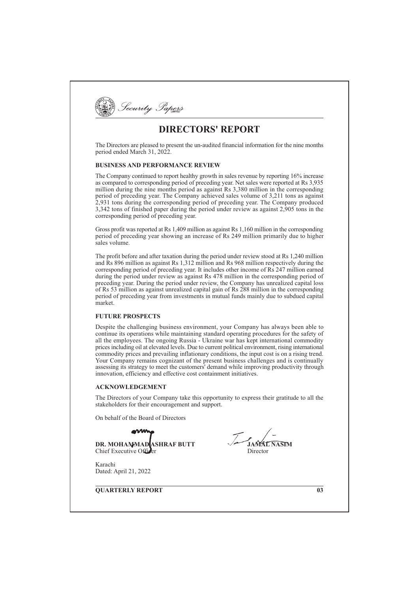

# **DIRECTORS' REPORT**

The Directors are pleased to present the un-audited financial information for the nine months period ended March 31, 2022.

## **BUSINESS AND PERFORMANCE REVIEW**

The Company continued to report healthy growth in sales revenue by reporting 16% increase as compared to corresponding period of preceding year. Net sales were reported at Rs 3,935 million during the nine months period as against Rs 3,380 million in the corresponding period of preceding year. The Company achieved sales volume of 3,211 tons as against 2,931 tons during the corresponding period of preceding year. The Company produced 3,342 tons of finished paper during the period under review as against 2,905 tons in the corresponding period of preceding year.

Gross profit was reported at Rs  $1.409$  million as against Rs  $1.160$  million in the corresponding period of preceding year showing an increase of Rs 249 million primarily due to higher sales volume.

The profit before and after taxation during the period under review stood at Rs 1,240 million and Rs 896 million as against Rs 1,312 million and Rs 968 million respectively during the corresponding period of preceding year. It includes other income of Rs 247 million earned during the period under review as against Rs 478 million in the corresponding period of preceding year. During the period under review, the Company has unrealized capital loss of Rs 53 million as against unrealized capital gain of Rs  $288$  million in the corresponding period of preceding year from investments in mutual funds mainly due to subdued capital market

### **FUTURE PROSPECTS**

Despite the challenging business environment, your Company has always been able to continue its operations while maintaining standard operating procedures for the safety of all the employees. The ongoing Russia - Ukraine war has kept international commodity prices including oil at elevated levels. Due to current political environment, rising international commodity prices and prevailing inflationary conditions, the input cost is on a rising trend. Your Company remains cognizant of the present business challenges and is continually assessing its strategy to meet the customers' demand while improving productivity through innovation, efficiency and effective cost containment initiatives.

#### **ACKNOWLEDGEMENT**

The Directors of your Company take this opportunity to express their gratitude to all the stakeholders for their encouragement and support.

On behalf of the Board of Directors

**DR. MOHAMMAD ASHRAF BUTT** Chief Executive Office

Karachi Dated: April 21, 2022

**OUARTERLY REPORT** 

 $\overline{03}$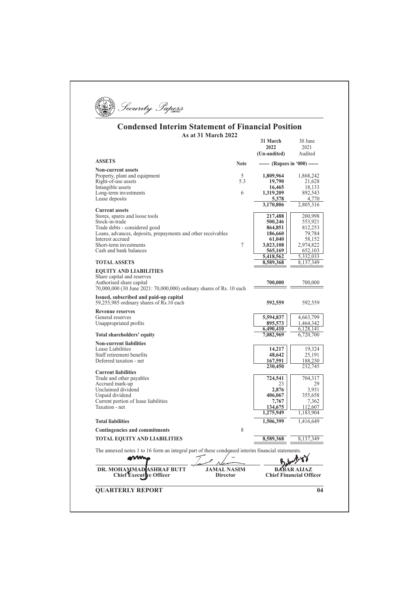

#### **Condensed Interim Statement of Financial Position** As at 31 March 2022  $31 \text{ March}$   $30 \text{ hr}$

| DR. MOHAMMAD ASHRAF BUTT<br><b>Chief Executive Officer</b>                                       | <b>JAMAL NASIM</b><br><b>Director</b> |                                | <b>BABAR AIJAZ</b><br><b>Chief Financial Officer</b> |
|--------------------------------------------------------------------------------------------------|---------------------------------------|--------------------------------|------------------------------------------------------|
| The annexed notes 1 to 16 form an integral part of these condensed interim financial statements. |                                       |                                |                                                      |
| <b>TOTAL EQUITY AND LIABILITIES</b>                                                              |                                       | 8,589,368                      | 8,137,349                                            |
| <b>Contingencies and commitments</b>                                                             | 8                                     |                                |                                                      |
| <b>Total liabilities</b>                                                                         |                                       | 1,506,399                      | 1,416,649                                            |
|                                                                                                  |                                       | 1,275,949                      | 1,183,904                                            |
| Taxation - net                                                                                   |                                       | 134,675                        | 112,607                                              |
| Current portion of lease liabilities                                                             |                                       | 7,767                          | 7,362                                                |
| Unclaimed dividend<br>Unpaid dividend                                                            |                                       | 2,876<br>406,067               | 3,931<br>355,658                                     |
| Accrued mark-up                                                                                  |                                       | 23                             | 29                                                   |
| <b>Current liabilities</b><br>Trade and other payables                                           |                                       | 724,541                        | 704,317                                              |
|                                                                                                  |                                       | 230,450                        | 232,745                                              |
| Deferred taxation - net                                                                          |                                       | 167,591                        | 188,230                                              |
| Lease Liabilities<br>Staff retirement benefits                                                   |                                       | 14,217<br>48,642               | 19,324<br>25,191                                     |
| <b>Non-current liabilities</b>                                                                   |                                       |                                |                                                      |
| Total shareholders' equity                                                                       |                                       | 7,082,969                      | 6,720,700                                            |
|                                                                                                  |                                       | 6,490,410                      | 6,128,141                                            |
| General reserves<br>Unappropriated profits                                                       |                                       | 5,594,837<br>895,573           | 4,663,799<br>1,464,342                               |
| <b>Revenue reserves</b>                                                                          |                                       |                                |                                                      |
| Issued, subscribed and paid-up capital<br>59,255,985 ordinary shares of Rs.10 each               |                                       | 592,559                        | 592,559                                              |
| 70,000,000 (30 June 2021: 70,000,000) ordinary shares of Rs. 10 each                             |                                       |                                |                                                      |
| Share capital and reserves<br>Authorised share capital                                           |                                       | 700,000                        | 700,000                                              |
| <b>EQUITY AND LIABILITIES</b>                                                                    |                                       |                                |                                                      |
| <b>TOTAL ASSETS</b>                                                                              |                                       | 8,589,368                      | 8,137,349                                            |
|                                                                                                  |                                       | 5,418,562                      | 5,332,033                                            |
| Cash and bank balances                                                                           |                                       | 565,169                        | 652,103                                              |
| Interest accrued<br>Short-term investments                                                       | 7                                     | 61,040<br>3,023,108            | 58,152<br>2,974,822                                  |
| Loans, advances, deposits, prepayments and other receivables                                     |                                       | 186,660                        | 79,784                                               |
| Trade debts - considered good                                                                    |                                       | 864,851                        | 812,253                                              |
| Stock-in-trade                                                                                   |                                       | 500,246                        | 553,921                                              |
| <b>Current assets</b><br>Stores, spares and loose tools                                          |                                       | 217,488                        | 200,998                                              |
|                                                                                                  |                                       | 3,170,806                      | 2,805,316                                            |
| Long-term investments<br>Lease deposits                                                          |                                       | 1,319,209<br>5,378             | 892,543<br>4,770                                     |
| Intangible assets                                                                                | 6                                     | 16,465                         | 18,133                                               |
| Right-of-use assets                                                                              | 5.3                                   | 19,790                         | 21,628                                               |
| Property, plant and equipment                                                                    | 5                                     | 1,809,964                      | 1,868,242                                            |
| <b>Non-current assets</b>                                                                        |                                       |                                |                                                      |
| <b>ASSETS</b>                                                                                    | <b>Note</b>                           | ------ (Rupees in '000) ------ |                                                      |
|                                                                                                  |                                       | (Un-audited)                   | Audited                                              |
|                                                                                                  |                                       | 31 March<br>2022               | 30 June<br>2021                                      |
|                                                                                                  |                                       |                                |                                                      |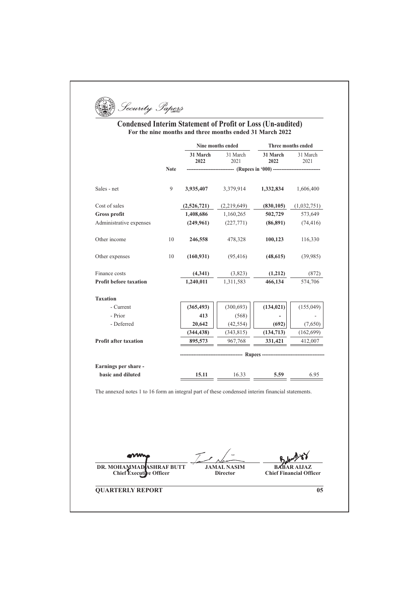Security Papers

## **Condensed Interim Statement of Profit or Loss (Un-audited) For the nine months and three months ended 31 March 2022**

|                                                                                                  |             | Nine months ended |                               |                                      | Three months ended |  |
|--------------------------------------------------------------------------------------------------|-------------|-------------------|-------------------------------|--------------------------------------|--------------------|--|
|                                                                                                  |             | 31 March<br>2022  | 31 March<br>2021              | 31 March<br>2022                     | 31 March<br>2021   |  |
|                                                                                                  | <b>Note</b> |                   |                               | ------- (Rupees in '000) ----------- |                    |  |
| Sales - net                                                                                      | 9           | 3,935,407         | 3,379,914                     | 1,332,834                            | 1,606,400          |  |
| Cost of sales                                                                                    |             | (2,526,721)       | (2,219,649)                   | (830, 105)                           | (1,032,751)        |  |
| <b>Gross profit</b>                                                                              |             | 1,408,686         | 1,160,265                     | 502,729                              | 573,649            |  |
| Administrative expenses                                                                          |             | (249,961)         | (227,771)                     | (86,891)                             | (74, 416)          |  |
| Other income                                                                                     | 10          | 246,558           | 478.328                       | 100,123                              | 116,330            |  |
| Other expenses                                                                                   | 10          | (160, 931)        | (95, 416)                     | (48, 615)                            | (39, 985)          |  |
| Finance costs                                                                                    |             | (4, 341)          | (3,823)                       | (1,212)                              | (872)              |  |
| <b>Profit before taxation</b>                                                                    |             | 1,240,011         | 1,311,583                     | 466,134                              | 574,706            |  |
| <b>Taxation</b>                                                                                  |             |                   |                               |                                      |                    |  |
| - Current                                                                                        |             | (365, 493)        | (300, 693)                    | (134, 021)                           | (155, 049)         |  |
| - Prior                                                                                          |             | 413               | (568)                         |                                      |                    |  |
| - Deferred                                                                                       |             | 20,642            | (42, 554)                     | (692)                                | (7,650)            |  |
|                                                                                                  |             | (344, 438)        | (343, 815)                    | (134, 713)                           | (162, 699)         |  |
| <b>Profit after taxation</b>                                                                     |             | 895,573           | 967,768                       | 331,421                              | 412,007            |  |
|                                                                                                  |             |                   | ----------- Rupees ---------- |                                      |                    |  |
| Earnings per share -                                                                             |             |                   |                               |                                      |                    |  |
| basic and diluted                                                                                |             | 15.11             | 16.33                         | 5.59                                 | 6.95               |  |
| The annexed notes 1 to 16 form an integral part of these condensed interim financial statements. |             |                   |                               |                                      |                    |  |

**JAMAL NASIM Director** 

**QUARTERLY REPORT** 

**DR. MOHAMMAD ASHRAF BUTT Chief Executive Officer** 

 $\overline{05}$ 

**BABAR ALJAZ Chief Financial Officer**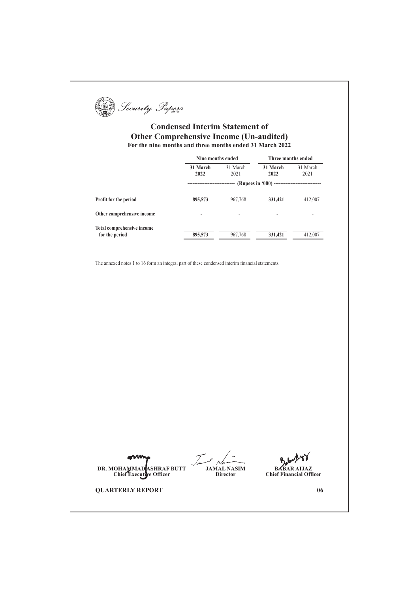Security Papers

## **Condensed Interim Statement of Other Comprehensive Income (Un-audited)** For the nine months and three months ended 31 March 2022

|                            | Nine months ended           |                  |                  | Three months ended |  |
|----------------------------|-----------------------------|------------------|------------------|--------------------|--|
|                            | 31 March<br>2022            | 31 March<br>2021 | 31 March<br>2022 | 31 March<br>2021   |  |
|                            | ---------------------<br>-- |                  |                  |                    |  |
| Profit for the period      | 895,573                     | 967,768          | 331,421          | 412,007            |  |
| Other comprehensive income | -                           | ۰                | -                | ۰                  |  |
| Total comprehensive income |                             |                  |                  |                    |  |
| for the period             | 895,573                     | 967,768          | 331,421          | 412,007            |  |

The annexed notes 1 to 16 form an integral part of these condensed interim financial statements.

DR. MOHAMMAD ASHRAF BUTT<br>Chief Executive Officer **JAMAL NASIM Director** 

**BABAR AIJAZ Chief Financial Officer** 

 $\overline{06}$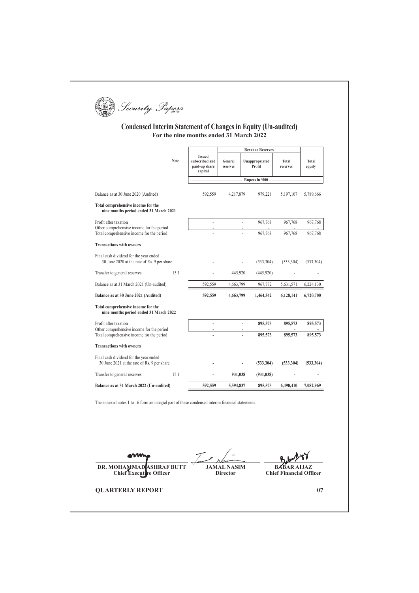# **Condensed Interim Statement of Changes in Equity (Un-audited)**<br>For the nine months ended 31 March 2022

|                                                                                                  |      |                                                             |                                       | <b>Revenue Reserves</b>  |            |                                      |                 |
|--------------------------------------------------------------------------------------------------|------|-------------------------------------------------------------|---------------------------------------|--------------------------|------------|--------------------------------------|-----------------|
|                                                                                                  | Note | <b>Issued</b><br>subscribed and<br>paid-up share<br>capital | General<br>reserves                   | Unappropriated<br>Profit |            | Total<br>reserves                    | Total<br>equity |
|                                                                                                  |      |                                                             |                                       | Rupees in '000 -         |            |                                      |                 |
| Balance as at 30 June 2020 (Audited)                                                             |      | 592,559                                                     | 4,217,879                             |                          | 979,228    | 5,197,107                            | 5,789,666       |
| Total comprehensive income for the<br>nine months period ended 31 March 2021                     |      |                                                             |                                       |                          |            |                                      |                 |
| Profit after taxation                                                                            |      | ÷,                                                          |                                       | ÷,                       | 967,768    | 967,768                              | 967,768         |
| Other comprehensive income for the period<br>Total comprehensive income for the period           |      |                                                             |                                       |                          | 967,768    | 967,768                              | 967,768         |
| <b>Transactions with owners</b>                                                                  |      |                                                             |                                       |                          |            |                                      |                 |
| Final cash dividend for the year ended<br>30 June 2020 at the rate of Rs. 9 per share            |      |                                                             |                                       |                          | (533, 304) | (533, 304)                           | (533, 304)      |
| Transfer to general reserves                                                                     | 15.1 |                                                             | 445,920                               |                          | (445,920)  |                                      |                 |
| Balance as at 31 March 2021 (Un-audited)                                                         |      | 592.559                                                     | 4,663,799                             |                          | 967,772    | 5,631,571                            | 6,224,130       |
| Balance as at 30 June 2021 (Audited)                                                             |      | 592,559                                                     | 4,663,799                             |                          | 1,464,342  | 6,128,141                            | 6,720,700       |
| Total comprehensive income for the<br>nine months period ended 31 March 2022                     |      |                                                             |                                       |                          |            |                                      |                 |
| Profit after taxation                                                                            |      | ÷,                                                          |                                       | ÷,                       | 895,573    | 895,573                              | 895,573         |
| Other comprehensive income for the period<br>Total comprehensive income for the period           |      |                                                             |                                       |                          | 895,573    | 895,573                              | 895,573         |
| <b>Transactions with owners</b>                                                                  |      |                                                             |                                       |                          |            |                                      |                 |
| Final cash dividend for the year ended<br>30 June 2021 at the rate of Rs. 9 per share            |      |                                                             |                                       |                          | (533, 304) | (533, 304)                           | (533, 304)      |
| Transfer to general reserves                                                                     | 15.1 |                                                             | 931,038                               |                          | (931, 038) |                                      |                 |
| Balance as at 31 March 2022 (Un-audited)                                                         |      | 592,559                                                     | 5,594,837                             |                          | 895,573    | 6,490,410                            | 7,082,969       |
| The annexed notes 1 to 16 form an integral part of these condensed interim financial statements. |      |                                                             |                                       |                          |            |                                      |                 |
|                                                                                                  |      |                                                             |                                       |                          |            |                                      |                 |
| <b>DR. MOHAMMAD</b><br><b>ASHRAF BUTT</b><br><b>Chief Executive Officer</b>                      |      |                                                             | <b>JAMAL NASIM</b><br><b>Director</b> |                          |            | RA<br><b>Chief Financial Officer</b> |                 |

**QUARTERLY REPORT** 

 $\overline{07}$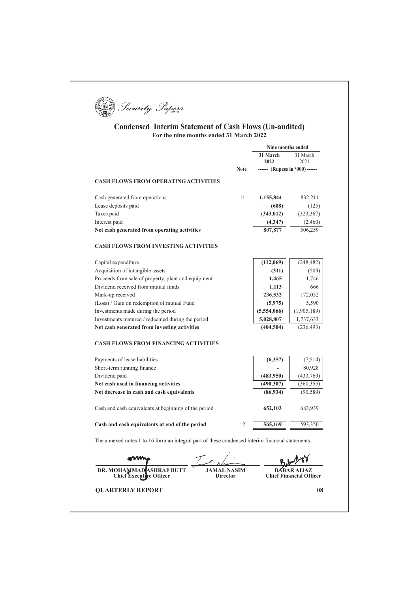

## **Condensed Interim Statement of Cash Flows (Un-audited) For the nine months ended 31 March 2022**

|                                                                                                            |                  | Nine months ended              |
|------------------------------------------------------------------------------------------------------------|------------------|--------------------------------|
|                                                                                                            | 31 March<br>2022 | 31 March<br>2021               |
| <b>Note</b>                                                                                                |                  | ------ (Rupees in '000) ------ |
| <b>CASH FLOWS FROM OPERATING ACTIVITIES</b>                                                                |                  |                                |
| Cash generated from operations<br>11                                                                       | 1,155,844        | 832,211                        |
| Lease deposits paid                                                                                        | (608)            | (125)                          |
| Taxes paid                                                                                                 | (343, 012)       | (323, 367)                     |
| Interest paid                                                                                              | (4,347)          | (2,460)                        |
| Net cash generated from operating activities                                                               | 807,877          | 506,259                        |
| <b>CASH FLOWS FROM INVESTING ACTIVITIES</b>                                                                |                  |                                |
| Capital expenditure                                                                                        | (112,069)        | (248, 482)                     |
| Acquisition of intangible assets                                                                           | (311)            | (509)                          |
| Proceeds from sale of property, plant and equipment                                                        | 1,465            | 1,746                          |
| Dividend received from mutual funds                                                                        | 1,113            | 666                            |
| Mark-up received                                                                                           | 236,532          | 172,052                        |
| (Loss) / Gain on redemption of mutual Fund                                                                 | (5,975)          | 5,590                          |
| Investments made during the period                                                                         | (5,554,066)      | (1,905,189)                    |
| Investments matured / redeemed during the period                                                           | 5,028,807        | 1,737,633                      |
| Net cash generated from investing activities                                                               | (404, 504)       | (236, 493)                     |
| <b>CASH FLOWS FROM FINANCING ACTIVITIES</b>                                                                |                  |                                |
| Payments of lease liabilities                                                                              | (6,357)          | (7,514)                        |
| Short-term running finance                                                                                 |                  | 80,928                         |
| Dividend paid                                                                                              | (483,950)        | (433,769)                      |
| Net cash used in financing activities                                                                      | (490, 307)       | (360, 355)                     |
| Net decrease in cash and cash equivalents                                                                  | (86,934)         | (90, 589)                      |
| Cash and cash equivalents at beginning of the period                                                       | 652,103          | 683,939                        |
| Cash and cash equivalents at end of the period<br>12                                                       | 565,169          | 593,350                        |
| The annexed notes 1 to 16 form an integral part of these condensed interim financial statements.           |                  |                                |
|                                                                                                            |                  |                                |
| <b>JAMAL NASIM</b><br>DR. MOHAMMAD<br>ASHRAF BUTT<br><b>Chief Executi</b><br>ve Officer<br><b>Director</b> |                  | <b>Chief Financial Officer</b> |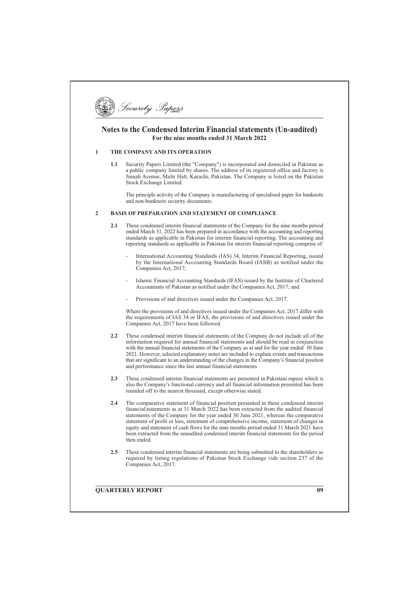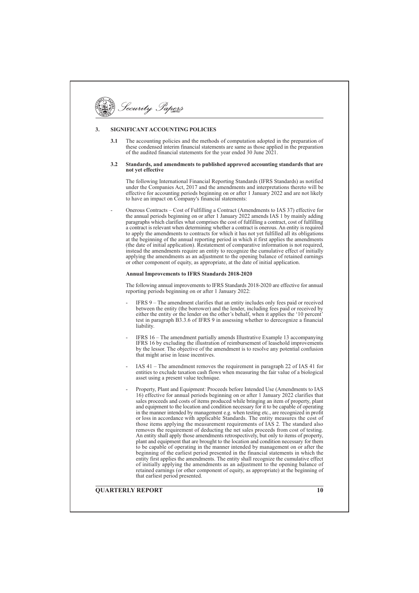# Security Papers

#### SIGNIFICANT ACCOUNTING POLICIES  $\mathbf{3}$

The accounting policies and the methods of computation adopted in the preparation of  $3.1$ these condensed interim financial statements are same as those applied in the preparation of the audited financial statements for the year ended 30 June 2021.

#### $3.2$ Standards, and amendments to published approved accounting standards that are not yet effective

The following International Financial Reporting Standards (IFRS Standards) as notified under the Companies Act, 2017 and the amendments and interpretations thereto will be effective for accounting periods beginning on or after 1 January 2022 and are not likely to have an impact on Company's financial statements:

Onerous Contracts – Cost of Fulfilling a Contract (Amendments to IAS 37) effective for the annual periods beginning on or after 1 January 2022 amends IAS 1 by mainly adding paragraphs which clarifies what comprises the cost of fulfilling a contract, cost of fulfilling a contract is relevant when determining whether a contract is onerous. An entity is required to apply the amendments to contracts for which it has not yet fulfilled all its obligations at the beginning of the annual reporting period in which it first applies the amendments (the date of initial application). Restatement of comparative information is not required, instead the amendments require an entity to recognize the cumulative effect of initially applying the amendments as an adjustment to the opening balance of retained earnings<br>or other component of equity, as appropriate, at the date of initial application.

#### **Annual Improvements to IFRS Standards 2018-2020**

The following annual improvements to IFRS Standards 2018-2020 are effective for annual reporting periods beginning on or after 1 January 2022:

- IFRS 9 The amendment clarifies that an entity includes only fees naid or received between the entity (the borrower) and the lender, including fees paid or received by either the entity or the lender on the other's behalf, when it applies the '10 percent' test in paragraph B3.3.6 of IFRS 9 in assessing whether to derecognize a financial liability.
- IFRS 16 The amendment partially amends Illustrative Example 13 accompanying IFRS 16 by excluding the illustration of reimbursement of leasehold improvements by the lessor. The objective of the amendment is to resolve any potential confusion that might arise in lease incentives
- IAS  $41$  The amendment removes the requirement in paragraph 22 of IAS 41 for entities to exclude taxation cash flows when measuring the fair value of a biological asset using a present value technique.
	- Property, Plant and Equipment: Proceeds before Intended Use (Amendments to IAS 16) effective for annual periods beginning on or after 1 January 2022 clarifies that sales proceeds and costs of items produced while bringing an item of property, plant and equipment to the location and condition necessary for it to be capable of operating in the manner intended by management e.g. when testing etc., are recognized in profit or loss in accordance with applicable Standards. The entity measures the cost of those items applying the measurement requirements of IAS 2. The standard also removes the requirement of deducting the net sales proceeds from cost of testing. An entity shall apply those amendments retrospectively, but only to items of property, plant and equipment that are brought to the location and condition necessary for them to be capable of operating in the manner intended by management on or after the beginning of the earliest period presented in the financial statements in which the entity first applies the amendments. The entity shall recognize the cumulative effect of initially applying the amendments as an adjustment to the opening balance of retained earnings (or other component of equity, as appropriate) at the beginning of that earliest period presented.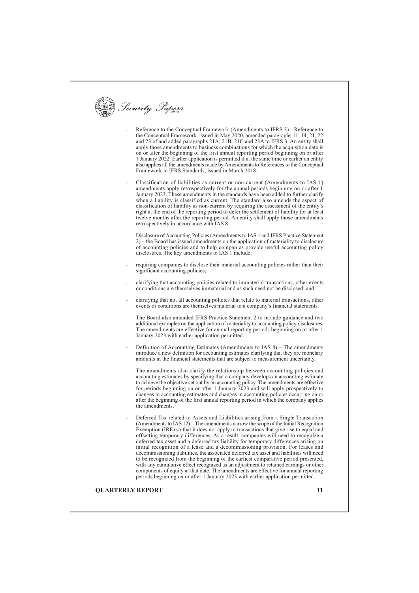Security Papers Reference to the Conceptual Framework (Amendments to IFRS 3) - Reference to the Conceptual Framework, issued in May 2020, amended paragraphs 11, 14, 21, 22<br>and 23 of and added paragraphs 21A, 21B, 21C and 23A to IFRS 3. An entity shall apply those amendments to business combinations for which the acquisition date is on or after the beginning of the first annual reporting period beginning on or after 1 January 2022. Earlier application is permitted if at the same time or earlier an entity also applies all the amendments made by Amendments to References to the Conceptual Framework in IFRS Standards, issued in March 2018. Classification of liabilities as current or non-current (Amendments to IAS 1) amendments apply retrospectively for the annual periods beginning on or after 1 January 2023. These amendments in the standards have been added to further clarify when a liability is classified as current. The standard also amends the aspect of classification of liability as non-current by requiring the assessment of the entity's right at the end of the reporting period to defer the settlement of liability for at least twelve months after the reporting period. An entity shall apply those amendments retrospectively in accordance with IAS 8. Disclosure of Accounting Policies (Amendments to IAS 1 and IFRS Practice Statement 2) - the Board has issued amendments on the application of materiality to disclosure of accounting policies and to help companies provide useful accounting policy disclosures. The key amendments to IAS 1 include: requiring companies to disclose their material accounting policies rather than their significant accounting policies; clarifying that accounting policies related to immaterial transactions, other events or conditions are themselves immaterial and as such need not be disclosed; and clarifying that not all accounting policies that relate to material transactions, other events or conditions are themselves material to a company's financial statements. The Board also amended IFRS Practice Statement 2 to include guidance and two additional examples on the application of materiality to accounting policy disclosures. The amendments are effective for annual reporting periods beginning on or after 1 January 2023 with earlier application permitted. Definition of Accounting Estimates (Amendments to IAS 8) – The amendments introduce a new definition for accounting estimates clarifying that they are monetary amounts in the financial statements that are subject to measurement uncertainty. The amendments also clarify the relationship between accounting policies and accounting estimates by specifying that a company develops an accounting estimate to achieve the objective set out by an accounting policy. The amendments are effective for periods beginning on or after 1 January  $\tilde{2}023$  and will apply prospectively to changes in accounting estimates and changes in accounting policies occurring on or after the beginning of the first annual reporting period in which the company applies the amendments. Deferred Tax related to Assets and Liabilities arising from a Single Transaction (Amendments to IAS 12) – The amendments narrow the scope of the Initial Recognition Exemption (IRE) so that it does not apply to transactions that give rise to equal and Examplement (i.e.) so that a user of proposition of the original unit of the distribution of the distribution of the distribution of the distribution of the distribution of the distribution of the distribution of the distr initial recognition of a lease and a decommissioning provision. For leases and decommissioning liabilities, the associated deferred tax asset and liabilities will need to be recognized from the beginning of the earliest comparative period presented, with any cumulative effect recognized as an adjustment to retained earnings or other components of equity at that date. The amendments are effective for annual reporting periods beginning on or after 1 January 2023 with earlier application permitted. **OUARTERLY REPORT**  $\overline{11}$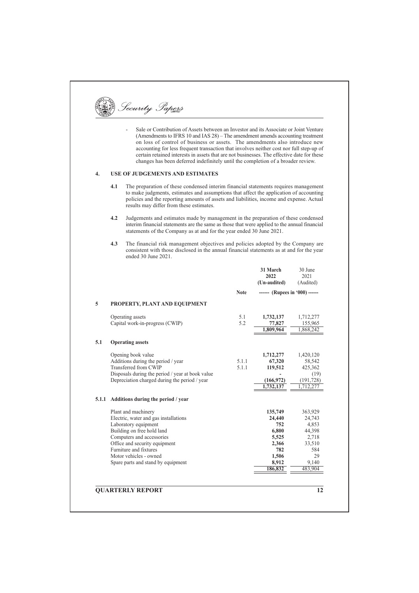Security Papers

Sale or Contribution of Assets between an Investor and its Associate or Joint Venture (Amendments to IFRS 10 and IAS 28) - The amendment amends accounting treatment on loss of control of business or assets. The amendments also introduce new accounting for less frequent transaction that involves neither cost nor full step-up of certain retained interests in assets that are not businesses. The effective date for these changes has been deferred indefinitely until the completion of a broader review.

#### $\overline{4}$ . USE OF JUDGEMENTS AND ESTIMATES

- The preparation of these condensed interim financial statements requires management  $4.1$ to make judgments, estimates and assumptions that affect the application of accounting policies and the reporting amounts of assets and liabilities, income and expense. Actual results may differ from these estimates.
- $4.2$ Judgements and estimates made by management in the preparation of these condensed interim financial statements are the same as those that were applied to the annual financial statements of the Company as at and for the year ended 30 June 2021.
- $4.3$ The financial risk management objectives and policies adopted by the Company are consistent with those disclosed in the annual financial statements as at and for the year ended 30 June 2021.

|                | 31 March<br>2022<br>(Un-audited)                                                        | 30 June<br>2021<br>(Audited)                                                             |
|----------------|-----------------------------------------------------------------------------------------|------------------------------------------------------------------------------------------|
| <b>Note</b>    | $--- (Rupees in '000)$ $---$                                                            |                                                                                          |
|                |                                                                                         |                                                                                          |
| 5.1<br>5.2     | 1,732,137<br>77,827<br>1,809,964                                                        | 1,712,277<br>155,965<br>1,868,242                                                        |
|                |                                                                                         |                                                                                          |
| 5.1.1<br>5.1.1 | 1,712,277<br>67,320<br>119,512<br>(166, 972)<br>1,732,137                               | 1,420,120<br>58,542<br>425,362<br>(19)<br>(191, 728)<br>1,712,277                        |
|                |                                                                                         |                                                                                          |
|                | 135,749<br>24,440<br>752<br>6,800<br>5,525<br>2,366<br>782<br>1,506<br>8,912<br>186,832 | 363,929<br>24,743<br>4,853<br>44,398<br>2,718<br>33,510<br>584<br>29<br>9,140<br>483,904 |
|                |                                                                                         |                                                                                          |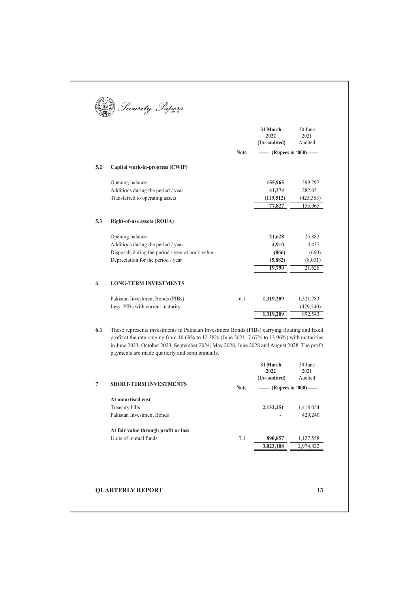|     |                                                                                                                                                                                                                                                                                              |             | 31 March<br>2022<br>(Un-audited) | 30 June<br>2021<br>Audited |
|-----|----------------------------------------------------------------------------------------------------------------------------------------------------------------------------------------------------------------------------------------------------------------------------------------------|-------------|----------------------------------|----------------------------|
|     |                                                                                                                                                                                                                                                                                              | <b>Note</b> | ------ (Rupees in '000) ------   |                            |
|     |                                                                                                                                                                                                                                                                                              |             |                                  |                            |
| 5.2 | Capital work-in-progress (CWIP)                                                                                                                                                                                                                                                              |             |                                  |                            |
|     | Opening balance                                                                                                                                                                                                                                                                              |             | 155,965                          | 299,297                    |
|     | Additions during the period / year                                                                                                                                                                                                                                                           |             | 41,374                           | 282,031                    |
|     | Transferred to operating assets                                                                                                                                                                                                                                                              |             | (119,512)                        | (425,363)                  |
|     |                                                                                                                                                                                                                                                                                              |             | 77,827                           | 155,965                    |
| 5.3 | Right-of-use assets (ROUA)                                                                                                                                                                                                                                                                   |             |                                  |                            |
|     | Opening balance                                                                                                                                                                                                                                                                              |             | 21,628                           | 25,882                     |
|     | Additions during the period / year                                                                                                                                                                                                                                                           |             | 4,910                            | 4,437                      |
|     | Disposals during the period / year at book value                                                                                                                                                                                                                                             |             | (866)                            | (660)                      |
|     | Depreciation for the period / year                                                                                                                                                                                                                                                           |             | (5,882)                          | (8,031)                    |
|     |                                                                                                                                                                                                                                                                                              |             | 19,790                           | 21,628                     |
| 6   | <b>LONG-TERM INVESTMENTS</b>                                                                                                                                                                                                                                                                 |             |                                  |                            |
|     | Pakistan Investment Bonds (PIBs)                                                                                                                                                                                                                                                             | 6.1         | 1,319,209                        | 1,321,783                  |
|     | Less: PIBs with current maturity                                                                                                                                                                                                                                                             |             |                                  | (429, 240)                 |
|     |                                                                                                                                                                                                                                                                                              |             | 1,319,209                        | 892,543                    |
|     |                                                                                                                                                                                                                                                                                              |             |                                  |                            |
| 6.1 | These represents investments in Pakistan Investment Bonds (PIBs) carrying floating and fixed<br>profit at the rate ranging from 10.69% to 12.38% (June 2021: 7.67% to 13.96%) with maturities<br>in June 2023, October 2023, September 2024, May 2028, June 2028 and August 2028. The profit |             |                                  |                            |
|     | payments are made quarterly and semi annually.                                                                                                                                                                                                                                               |             | 31 March                         | 30 June                    |
|     |                                                                                                                                                                                                                                                                                              |             |                                  |                            |
|     |                                                                                                                                                                                                                                                                                              |             | 2022                             | 2021                       |
| 7   | <b>SHORT-TERM INVESTMENTS</b>                                                                                                                                                                                                                                                                |             | (Un-audited)                     | Audited                    |
|     |                                                                                                                                                                                                                                                                                              | <b>Note</b> | ------ (Rupees in '000) ------   |                            |
|     | At amortised cost                                                                                                                                                                                                                                                                            |             |                                  |                            |
|     | Treasury bills                                                                                                                                                                                                                                                                               |             | 2,132,251                        | 1,418,024                  |
|     | Pakistan Investment Bonds                                                                                                                                                                                                                                                                    |             |                                  | 429,240                    |
|     | At fair value through profit or loss                                                                                                                                                                                                                                                         |             |                                  |                            |
|     | Units of mutual funds                                                                                                                                                                                                                                                                        | 7.1         | 890,857                          | 1,127,558                  |
|     |                                                                                                                                                                                                                                                                                              |             | 3,023,108                        | 2,974,822                  |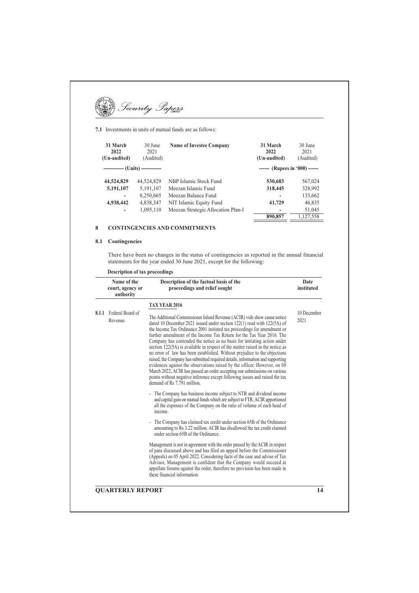**DE Security Papers** 

7.1 Investments in units of mutual funds are as follows:

| 31 March<br>2022<br>(Un-audited)   | 30 June<br>2021<br>(Audited) | <b>Name of Investee Company</b>    | 31 March<br>2022<br>(Un-audited) | 30 June<br>2021<br>(Audited) |
|------------------------------------|------------------------------|------------------------------------|----------------------------------|------------------------------|
| ------------- (Units) ------------ |                              |                                    | ------ (Rupees in '000) ------   |                              |
| 44,524,829                         | 44,524,829                   | NBP Islamic Stock Fund             | 530,683                          | 567,024                      |
| 5,191,107                          | 5,191,107                    | Meezan Islamic Fund                | 318,445                          | 328,992                      |
| -                                  | 8,250,665                    | Meezan Balance Fund                |                                  | 133,662                      |
| 4,938,442                          | 4,838,347                    | NIT Islamic Equity Fund            | 41,729                           | 46,835                       |
| $\qquad \qquad \blacksquare$       | 1,095,110                    | Meezan Strategic Allocation Plan-I | -                                | 51,045                       |
|                                    |                              |                                    | 890,857                          | 1,127,558                    |

#### $\bf{8}$ **CONTINGENCIES AND COMMITMENTS**

## 8.1 Contingencies

There have been no changes in the status of contingencies as reported in the annual financial statements for the year ended 30 June 2021, except for the following:

| Name of the<br>court, agency or<br>authority | Description of the factual basis of the<br>proceedings and relief sought                                                                                                                                                                                                                                                                                                                                                                                                                                                                                                                                                                                                                                                                                                                                                                                                                                                                                                                                                                                                                                                                                                                                                                                                                                                                                                                                                                                                                                                                                                                                                                                                                                                                                                                              | Date<br>instituted  |
|----------------------------------------------|-------------------------------------------------------------------------------------------------------------------------------------------------------------------------------------------------------------------------------------------------------------------------------------------------------------------------------------------------------------------------------------------------------------------------------------------------------------------------------------------------------------------------------------------------------------------------------------------------------------------------------------------------------------------------------------------------------------------------------------------------------------------------------------------------------------------------------------------------------------------------------------------------------------------------------------------------------------------------------------------------------------------------------------------------------------------------------------------------------------------------------------------------------------------------------------------------------------------------------------------------------------------------------------------------------------------------------------------------------------------------------------------------------------------------------------------------------------------------------------------------------------------------------------------------------------------------------------------------------------------------------------------------------------------------------------------------------------------------------------------------------------------------------------------------------|---------------------|
| 8.1.1 Federal Board of<br>Revenue            | TAX YEAR 2016<br>The Additional Commissioner Inland Revenue (ACIR) vide show cause notice<br>dated 10 December 2021 issued under section 122(1) read with 122(5A) of<br>the Income Tax Ordinance 2001 initiated tax proceedings for amendment or<br>further amendment of the Income Tax Return for the Tax Year 2016. The<br>Company has contended the notice as no basis for initiating action under<br>section 122(5A) is available in respect of the matter raised in the notice as<br>no error of law has been established. Without prejudice to the objections<br>raised, the Company has submitted required details, information and supporting<br>evidences against the observations raised by the officer. However, on 08<br>March 2022, ACIR has passed an order accepting our submissions on various<br>points without negative inference except following issues and raised the tax<br>demand of Rs 7.791 million.<br>- The Company has business income subject to NTR and dividend income<br>and capital gain on mutual funds which are subject to FTR. ACIR apportioned<br>all the expenses of the Company on the ratio of volume of each head of<br>income.<br>- The Company has claimed tax credit under section 65B of the Ordinance<br>amounting to Rs 3.22 million. ACIR has disallowed the tax credit claimed<br>under section 65B of the Ordinance.<br>Management is not in agreement with the order passed by the ACIR in respect<br>of para discussed above and has filed an appeal before the Commissioner<br>(Appeals) on 05 April 2022. Considering facts of the case and advise of Tax<br>Advisor, Management is confident that the Company would succeed at<br>appellate forums against the order, therefore no provision has been made in<br>these financial information. | 10 December<br>2021 |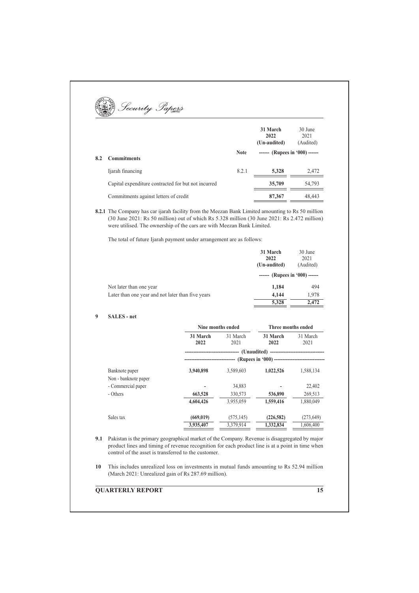|     | Security Papers                                     |             |                                  |                              |
|-----|-----------------------------------------------------|-------------|----------------------------------|------------------------------|
|     |                                                     |             | 31 March<br>2022<br>(Un-audited) | 30 June<br>2021<br>(Audited) |
| 8.2 | <b>Commitments</b>                                  | <b>Note</b> | ------ (Rupees in $(000)$ ------ |                              |
|     | Ijarah financing                                    | 8.2.1       | 5,328                            | 2,472                        |
|     | Capital expenditure contracted for but not incurred |             | 35,709                           | 54,793                       |
|     | Commitments against letters of credit               |             | 87,367                           | 48,443                       |

8.2.1 The Company has car ijarah facility from the Meezan Bank Limited amounting to Rs 50 million  $(30 \text{ June } 2021$ : Rs  $50 \text{ million}$  out of which Rs  $5.328 \text{ million}$   $(30 \text{ June } 2021$ : Rs  $2.472 \text{ million}$ were utilised. The ownership of the cars are with Meezan Bank Limited.

The total of future Ijarah payment under arrangement are as follows:

|                                                   | 31 March<br>2022<br>(Un-audited) | 30 June<br>2021<br>(Audited) |
|---------------------------------------------------|----------------------------------|------------------------------|
|                                                   | ------ (Rupees in '000) ------   |                              |
| Not later than one year                           | 1,184                            | 494                          |
| Later than one year and not later than five years | 4,144                            | 1,978                        |
|                                                   | 5,328                            | 2.472                        |

#### **9 SALES** - net

|                      |                  | Nine months ended | Three months ended |                  |  |
|----------------------|------------------|-------------------|--------------------|------------------|--|
|                      | 31 March<br>2022 | 31 March<br>2021  | 31 March<br>2022   | 31 March<br>2021 |  |
|                      |                  |                   |                    |                  |  |
|                      |                  |                   |                    |                  |  |
| Banknote paper       | 3,940,898        | 3,589,603         | 1,022,526          | 1,588,134        |  |
| Non - banknote paper |                  |                   |                    |                  |  |
| - Commercial paper   |                  | 34,883            |                    | 22,402           |  |
| - Others             | 663,528          | 330,573           | 536,890            | 269,513          |  |
|                      | 4,604,426        | 3,955,059         | 1,559,416          | 1.880.049        |  |
| Sales tax            | (669, 019)       | (575, 145)        | (226, 582)         | (273, 649)       |  |
|                      | 3.935,407        | 3,379,914         | 1.332.834          | 1,606,400        |  |

**9.1** Pakistan is the primary geographical market of the Company. Revenue is disaggregated by major product lines and timing of revenue recognition for each product line is at a point in time when control of the asset is transferred to the customer.

**10** This includes unrealized loss on investments in mutual funds amounting to Rs 52.94 million (March 2021: Unrealized gain of Rs 287.69 million).

#### **2.15 CONSERVATERLY REPORT**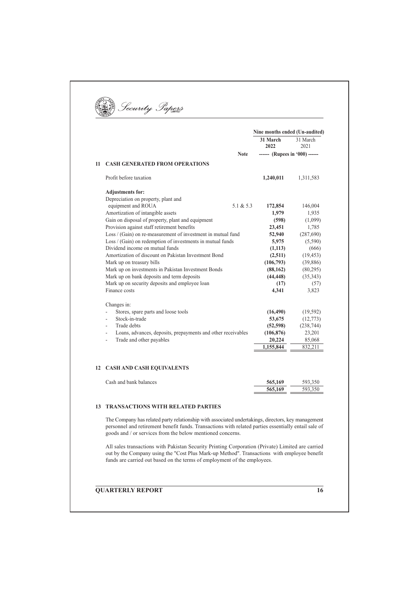|    |                                                                                                  | Nine months ended (Un-audited) |                  |
|----|--------------------------------------------------------------------------------------------------|--------------------------------|------------------|
|    |                                                                                                  | 31 March<br>2022               | 31 March<br>2021 |
|    | <b>Note</b>                                                                                      | ------ (Rupees in '000) ------ |                  |
| 11 | <b>CASH GENERATED FROM OPERATIONS</b>                                                            |                                |                  |
|    | Profit before taxation                                                                           | 1,240,011                      | 1,311,583        |
|    | <b>Adjustments for:</b>                                                                          |                                |                  |
|    | Depreciation on property, plant and<br>equipment and ROUA<br>5.1 & 5.3                           | 172,854                        | 146,004          |
|    | Amortization of intangible assets                                                                | 1,979                          | 1,935            |
|    | Gain on disposal of property, plant and equipment<br>Provision against staff retirement benefits | (598)<br>23,451                | (1,099)<br>1,785 |
|    | Loss / (Gain) on re-measurement of investment in mutual fund                                     | 52,940                         | (287,690)        |
|    | Loss / (Gain) on redemption of investments in mutual funds                                       | 5,975                          | (5,590)          |
|    | Dividend income on mutual funds                                                                  | (1,113)                        | (666)            |
|    | Amortization of discount on Pakistan Investment Bond                                             | (2,511)                        | (19, 453)        |
|    | Mark up on treasury bills                                                                        | (106,793)                      | (39, 886)        |
|    | Mark up on investments in Pakistan Investment Bonds                                              | (88, 162)                      | (80,295)         |
|    | Mark up on bank deposits and term deposits                                                       | (44, 448)                      | (35,343)         |
|    | Mark up on security deposits and employee loan                                                   | (17)                           | (57)             |
|    | Finance costs                                                                                    | 4,341                          | 3,823            |
|    | Changes in:                                                                                      |                                |                  |
|    | Stores, spare parts and loose tools<br>$\overline{a}$                                            | (16, 490)                      | (19, 592)        |
|    | Stock-in-trade<br>L.                                                                             | 53,675                         | (12, 773)        |
|    | Trade debts<br>L,                                                                                | (52, 598)                      | (238, 744)       |
|    | Loans, advances, deposits, prepayments and other receivables                                     | (106, 876)                     | 23,201           |
|    | Trade and other payables<br>L,                                                                   | 20,224                         | 85,068           |
|    |                                                                                                  | 1,155,844                      | 832,211          |
|    | <b>12 CASH AND CASH EQUIVALENTS</b>                                                              |                                |                  |
|    | Cash and bank balances                                                                           | 565,169                        | 593,350          |
|    |                                                                                                  | 565,169                        | 593,350          |

goods and / or services from the below mentioned concerns. All sales transactions with Pakistan Security Printing Corporation (Private) Limited are carried out by the Company using the "Cost Plus Mark-up Method". Transactions with employee benefit funds are carried out based on the terms of employment of the employees.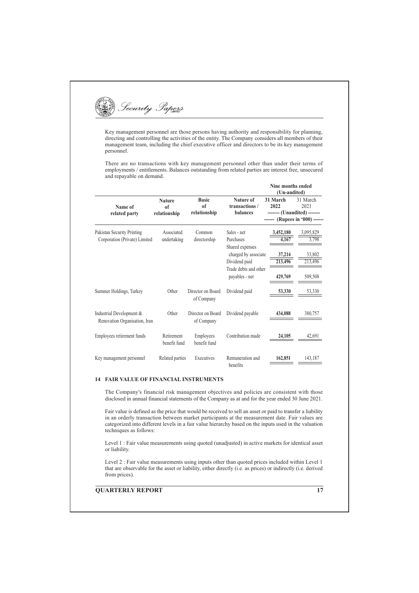

Key management personnel are those persons having authority and responsibility for planning, directing and controlling the activities of the entity. The Company considers all members of their management team, including the chief executive officer and directors to be its key management personnel.

There are no transactions with key management personnel other than under their terms of employments / entitlements. Balances outstanding from related parties are interest free, unsecured and repayable on demand.

|                                                             |                                                 |                                               |                                                                     | Nine months ended<br>(Un-audited)                                                 |                              |  |
|-------------------------------------------------------------|-------------------------------------------------|-----------------------------------------------|---------------------------------------------------------------------|-----------------------------------------------------------------------------------|------------------------------|--|
| Name of<br>related party                                    | <b>Nature</b><br>0 <sup>f</sup><br>relationship | <b>Basic</b><br><sub>of</sub><br>relationship | Nature of<br>transactions /<br><b>balances</b>                      | 31 March<br>2022<br>------- (Unaudited) -------<br>------ (Rupees in '000) ------ | 31 March<br>2021             |  |
| Pakistan Security Printing<br>Corporation (Private) Limited | Associated<br>undertaking                       | Common<br>directorship                        | Sales - net<br>Purchases<br>Shared expenses<br>charged by associate | 3,452,180<br>4,167<br>37,214                                                      | 3,095,829<br>3,798<br>33,802 |  |
|                                                             |                                                 |                                               | Dividend paid<br>Trade debts and other<br>payables - net            | 213,496<br>429,769                                                                | 213,496<br>509,508           |  |
| Summer Holdings, Turkey                                     | Other                                           | Director on Board<br>of Company               | Dividend paid                                                       | 53,330                                                                            | 53,330                       |  |
| Industrial Development &<br>Renovation Organisation, Iran   | Other                                           | Director on Board<br>of Company               | Dividend payable                                                    | 434,088                                                                           | 380,757                      |  |
| Employees retirement funds                                  | Retirement<br>benefit fund                      | Employees<br>benefit fund                     | Contribution made                                                   | 24,105                                                                            | 42.691                       |  |
| Key management personnel                                    | Related parties                                 | Executives                                    | Remuneration and<br>benefits                                        | 162,851                                                                           | 143,187                      |  |

#### **14 FAIR VALUE OF FINANCIAL INSTRUMENTS**

The Company's financial risk management objectives and policies are consistent with those disclosed in annual financial statements of the Company as at and for the year ended 30 June 2021.

Fair value is defined as the price that would be received to sell an asset or paid to transfer a liability in an orderly transaction between market participants at the measurement date. Fair values are categorized into different levels in a fair value hierarchy based on the inputs used in the valuation techniques as follows:

Level 1 : Fair value measurements using quoted (unadjusted) in active markets for identical asset or liability.

Level 2 : Fair value measurements using inputs other than quoted prices included within Level 1 that are observable for the asset or liability, either directly (i.e. as prices) or indirectly (i.e. derived from prices).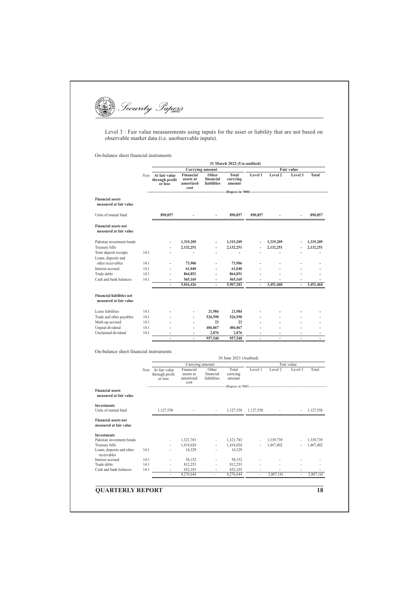

Level 3 : Fair value measurements using inputs for the asset or liability that are not based on observable market data (i.e. unobservable inputs).

On-balance sheet financial instruments

| <b>Financial assets</b><br>measured at fair value<br>Units of mutual fund<br><b>Financial assets not</b><br>measured at fair value | Note         | At fair value<br>through profit<br>or loss      | Carrying amount                             |                                   |                                    |                          |                |                          |                        |
|------------------------------------------------------------------------------------------------------------------------------------|--------------|-------------------------------------------------|---------------------------------------------|-----------------------------------|------------------------------------|--------------------------|----------------|--------------------------|------------------------|
|                                                                                                                                    |              |                                                 | Financial<br>assets at<br>amortized<br>cost | Other<br>financial<br>liabilities | <b>Total</b><br>carrying<br>amount | Level 1                  | Level 2        | Fair value<br>Level 3    | Total                  |
|                                                                                                                                    |              |                                                 |                                             |                                   |                                    |                          |                |                          |                        |
|                                                                                                                                    |              | 890,857                                         |                                             |                                   | 890,857                            | 890,857                  |                |                          | 890,857                |
|                                                                                                                                    |              |                                                 |                                             |                                   |                                    |                          |                |                          |                        |
| Pakistan investment bonds                                                                                                          |              |                                                 | 1,319,209                                   |                                   | 1,319,209                          |                          | 1,319,209      |                          | 1,319,209              |
| Treasury bills                                                                                                                     |              |                                                 | 2,132,251                                   |                                   | 2,132,251                          |                          | 2,132,251      |                          | 2,132,251              |
| Term deposit receipts<br>Loans, deposits and                                                                                       | 14.1         |                                                 | $\overline{a}$                              |                                   | $\overline{\phantom{a}}$           |                          |                |                          |                        |
| other receivables                                                                                                                  | 14.1         |                                                 | 73,906                                      |                                   | 73,906                             |                          |                |                          |                        |
| Interest accrued                                                                                                                   | 14.1         | ÷                                               | 61,040                                      | ÷.                                | 61,040                             | L.                       |                |                          | L.                     |
| Trade debts                                                                                                                        | 14.1         | $\overline{a}$                                  | 864,851                                     | ÷,                                | 864,851                            | L.                       | ä,             | ÷.                       | Ĭ.                     |
| Cash and bank balances                                                                                                             | 14.1         |                                                 | 565,169                                     |                                   | 565,169                            |                          |                |                          | $\overline{a}$         |
|                                                                                                                                    |              |                                                 | 5,016,426                                   | $\overline{\phantom{a}}$          | 5,907,283                          | $\overline{\phantom{a}}$ | 3,451,460      | $\overline{\phantom{a}}$ | 3,451,460              |
| <b>Financial liabilities not</b><br>measured at fair value                                                                         |              |                                                 |                                             |                                   |                                    |                          |                |                          |                        |
| Lease liabilities                                                                                                                  | 14.1         |                                                 |                                             | 21,984                            | 21,984                             |                          |                |                          |                        |
| Trade and other payables                                                                                                           | 14.1         |                                                 |                                             | 526,590                           | 526,590                            |                          |                |                          |                        |
| Mark-up accrued                                                                                                                    | 14.1         |                                                 |                                             | 23                                | 23                                 |                          |                |                          |                        |
| Unpaid dividend                                                                                                                    | 14.1         | ä,                                              | L.                                          | 406,067                           | 406,067                            | L.                       | $\overline{a}$ | L.                       | ä,                     |
| Unclaimed dividend                                                                                                                 | 14.1         |                                                 | L.                                          | 2,876                             | 2,876                              | L.                       | ÷              |                          |                        |
|                                                                                                                                    |              |                                                 |                                             | 957,540                           | 957,540                            |                          | $\overline{a}$ |                          |                        |
| On-balance sheet financial instruments                                                                                             |              |                                                 | Carrying amount                             |                                   | 30 June 2021 (Audited)             |                          |                | Fair value               |                        |
|                                                                                                                                    |              | Note At fair value<br>through profit<br>or loss | Financial<br>assets at<br>amortized<br>cost | Other<br>financial<br>liabilities | Total<br>carrying<br>amount        | Level 1                  | Level 2        | Level 3                  | Total                  |
|                                                                                                                                    |              |                                                 |                                             |                                   |                                    |                          |                |                          |                        |
| measured at fair value                                                                                                             |              |                                                 |                                             |                                   |                                    |                          |                |                          |                        |
|                                                                                                                                    |              | 1,127,558                                       |                                             |                                   | 1,127,558                          | 1,127,558                |                | $\sim$                   |                        |
| <b>Financial assets</b><br><b>Investments</b><br>Units of mutual fund<br><b>Financial assets not</b><br>measured at fair value     |              |                                                 |                                             |                                   |                                    |                          |                |                          |                        |
| <b>Investments</b>                                                                                                                 |              |                                                 |                                             |                                   |                                    |                          |                |                          |                        |
|                                                                                                                                    |              |                                                 | 1,321,783                                   |                                   | 1,321,783                          |                          | 1,339,739      |                          | 1,127,558<br>1,339,739 |
|                                                                                                                                    |              |                                                 | 1,418,024                                   |                                   | 1,418,024                          |                          | 1,467,402      |                          |                        |
| Pakistan investment bonds<br>Treasury bills<br>Loans, deposits and other<br>receivables                                            | 14.1         |                                                 | 14,329                                      | $\overline{a}$                    | 14,329                             |                          |                |                          |                        |
|                                                                                                                                    | 14.1         |                                                 | 58,152                                      | $\overline{a}$                    | 58,152                             |                          |                |                          | 1,467,402              |
| Interest accrued<br>Trade debts<br>Cash and bank balances                                                                          | 14.1<br>14.1 | L.                                              | 812,253<br>652,103                          | $\overline{a}$                    | 812,253<br>652,103                 | $\overline{a}$           | $\overline{a}$ | $\overline{a}$           | $\overline{a}$         |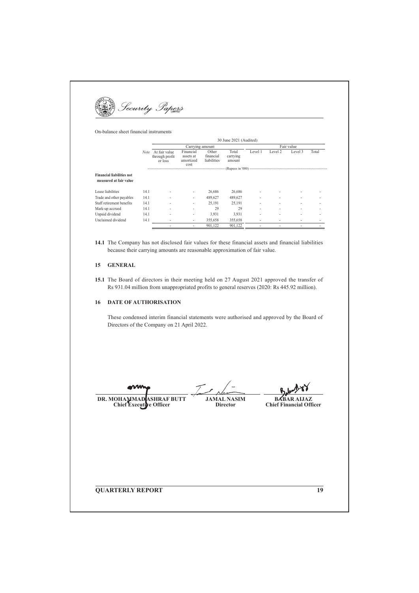Security Papers

On-balance sheet financial instruments

|                                                            |             |                                            |                                             |                                   | 30 June 2021 (Audited)      |                          |                          |                          |       |  |
|------------------------------------------------------------|-------------|--------------------------------------------|---------------------------------------------|-----------------------------------|-----------------------------|--------------------------|--------------------------|--------------------------|-------|--|
|                                                            |             |                                            | Carrying amount                             |                                   |                             |                          | Fair value               |                          |       |  |
|                                                            | <b>Note</b> | At fair value<br>through profit<br>or loss | Financial<br>assets at<br>amortized<br>cost | Other<br>financial<br>liabilities | Total<br>carrying<br>amount | Level 1                  | Level 2                  | Level 3                  | Total |  |
|                                                            |             |                                            |                                             |                                   |                             |                          |                          |                          |       |  |
| <b>Financial liabilities not</b><br>measured at fair value |             |                                            |                                             |                                   |                             |                          |                          |                          |       |  |
| Lease liabilities                                          | 14.1        |                                            | ٠                                           | 26,686                            | 26,686                      | $\overline{a}$           |                          |                          |       |  |
| Trade and other payables                                   | 14.1        |                                            | ٠                                           | 489,627                           | 489,627                     | $\overline{\phantom{0}}$ |                          | $\overline{\phantom{0}}$ |       |  |
| Staff retirement benefits                                  | 14.1        |                                            | ٠                                           | 25.191                            | 25,191                      | $\overline{\phantom{0}}$ | $\overline{\phantom{0}}$ | $\overline{\phantom{0}}$ |       |  |
| Mark-up accrued                                            | 14.1        |                                            |                                             | 29                                | 29                          | $\overline{\phantom{0}}$ |                          |                          |       |  |
| Unpaid dividend                                            | 14.1        | ۰                                          | ٠                                           | 3,931                             | 3,931                       | $\overline{\phantom{0}}$ |                          |                          |       |  |
| Unclaimed dividend                                         | 14.1        |                                            | $\overline{\phantom{a}}$                    | 355,658                           | 355,658                     | $\overline{\phantom{0}}$ |                          |                          |       |  |
|                                                            |             |                                            |                                             | 901,122                           | 901,122                     |                          |                          |                          |       |  |

14.1 The Company has not disclosed fair values for these financial assets and financial liabilities because their carrying amounts are reasonable approximation of fair value.

#### 15 GENERAL

15.1 The Board of directors in their meeting held on 27 August 2021 approved the transfer of Rs 931.04 million from unappropriated profits to general reserves (2020: Rs 445.92 million).

#### 16 DATE OF AUTHORISATION

These condensed interim financial statements were authorised and approved by the Board of Directors of the Company on 21 April 2022.

DR. MOHAMMAD **ASHRAF BUTT** Chief Executi ve Officer

 $\mathcal{T}$ **JAMAL NASIM** 

Director

**BABAR ALJAZ Chief Financial Officer** 

**QUARTERLY REPORT** 

 $\overline{19}$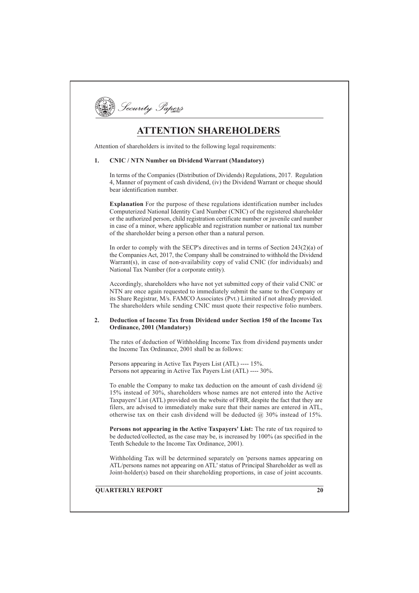

# **ATTENTION SHAREHOLDERS**

Attention of shareholders is invited to the following legal requirements:

#### $\mathbf{1}$ **CNIC / NTN Number on Dividend Warrant (Mandatory)**

In terms of the Companies (Distribution of Dividends) Regulations, 2017. Regulation 4, Manner of payment of cash dividend, (iv) the Dividend Warrant or cheque should bear identification number.

Explanation For the purpose of these regulations identification number includes Computerized National Identity Card Number (CNIC) of the registered shareholder or the authorized person, child registration certificate number or juvenile card number in case of a minor, where applicable and registration number or national tax number of the shareholder being a person other than a natural person.

In order to comply with the SECP's directives and in terms of Section  $243(2)(a)$  of the Companies Act, 2017, the Company shall be constrained to withhold the Dividend Warrant(s), in case of non-availability copy of valid CNIC (for individuals) and National Tax Number (for a corporate entity).

Accordingly, shareholders who have not yet submitted copy of their valid CNIC or NTN are once again requested to immediately submit the same to the Company or its Share Registrar, M/s. FAMCO Associates (Pvt.) Limited if not already provided. The shareholders while sending CNIC must quote their respective folio numbers.

#### $2.$ Deduction of Income Tax from Dividend under Section 150 of the Income Tax Ordinance, 2001 (Mandatory)

The rates of deduction of Withholding Income Tax from dividend payments under the Income Tax Ordinance, 2001 shall be as follows:

Persons appearing in Active Tax Payers List (ATL) ---- 15%. Persons not appearing in Active Tax Payers List (ATL) ---- 30%.

To enable the Company to make tax deduction on the amount of cash dividend  $(a)$ 15% instead of 30%, shareholders whose names are not entered into the Active Taxpayers' List (ATL) provided on the website of FBR, despite the fact that they are filers, are advised to immediately make sure that their names are entered in ATL, otherwise tax on their cash dividend will be deducted  $(2, 30\%$  instead of 15%.

Persons not appearing in the Active Taxpayers' List: The rate of tax required to be deducted/collected, as the case may be, is increased by 100% (as specified in the Tenth Schedule to the Income Tax Ordinance, 2001).

Withholding Tax will be determined separately on 'persons names appearing on ATL/persons names not appearing on ATL' status of Principal Shareholder as well as Joint-holder(s) based on their shareholding proportions, in case of joint accounts.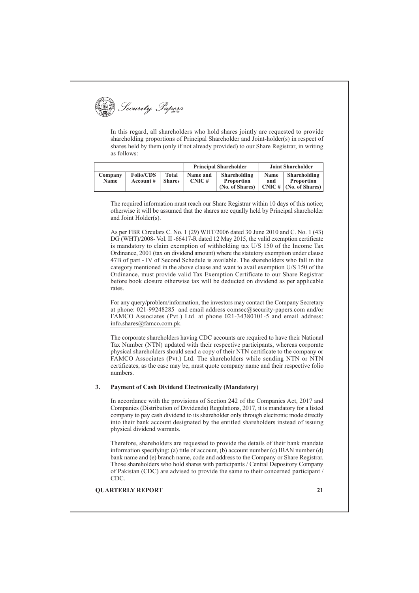Security Papers

In this regard, all shareholders who hold shares jointly are requested to provide shareholding proportions of Principal Shareholder and Joint-holder(s) in respect of shares held by them (only if not already provided) to our Share Registrar, in writing as follows:

|                        |                               |                        |                   | <b>Principal Shareholder</b>                         | <b>Joint Shareholder</b> |                                                                  |  |
|------------------------|-------------------------------|------------------------|-------------------|------------------------------------------------------|--------------------------|------------------------------------------------------------------|--|
| Company<br><b>Name</b> | <b>Folio/CDS</b><br>Account # | Total<br><b>Shares</b> | Name and<br>CNIC# | Shareholding<br><b>Proportion</b><br>(No. of Shares) | Name<br>and              | Shareholding<br><b>Proportion</b><br>$CNIC \#   (No. of Shares)$ |  |

The required information must reach our Share Registrar within 10 days of this notice; otherwise it will be assumed that the shares are equally held by Principal shareholder and Joint Holder(s).

As per FBR Circulars C. No. 1 (29) WHT/2006 dated 30 June 2010 and C. No. 1 (43) DG (WHT)/2008- Vol. II -66417-R dated 12 May 2015, the valid exemption certificate is mandatory to claim exemption of withholding tax U/S 150 of the Income Tax Ordinance, 2001 (tax on dividend amount) where the statutory exemption under clause 47B of part - IV of Second Schedule is available. The shareholders who fall in the category mentioned in the above clause and want to avail exemption U/S 150 of the Ordinance, must provide valid Tax Exemption Certificate to our Share Registrar before book closure otherwise tax will be deducted on dividend as per applicable rates.

For any query/problem/information, the investors may contact the Company Secretary at phone: 021-99248285 and email address comsec@security-papers.com and/or FAMCO Associates (Pvt.) Ltd. at phone 021-34380101-5 and email address: info.shares@famco.com.pk.

The corporate shareholders having CDC accounts are required to have their National Tax Number (NTN) updated with their respective participants, whereas corporate physical shareholders should send a copy of their NTN certificate to the company or FAMCO Associates (Pvt.) Ltd. The shareholders while sending NTN or NTN certificates, as the case may be, must quote company name and their respective folio numbers.

#### 3. **Payment of Cash Dividend Electronically (Mandatory)**

In accordance with the provisions of Section 242 of the Companies Act, 2017 and Companies (Distribution of Dividends) Regulations, 2017, it is mandatory for a listed company to pay cash dividend to its shareholder only through electronic mode directly into their bank account designated by the entitled shareholders instead of issuing physical dividend warrants.

Therefore, shareholders are requested to provide the details of their bank mandate information specifying: (a) title of account, (b) account number (c) IBAN number (d) bank name and (e) branch name, code and address to the Company or Share Registrar. Those shareholders who hold shares with participants / Central Depository Company of Pakistan (CDC) are advised to provide the same to their concerned participant / CDC.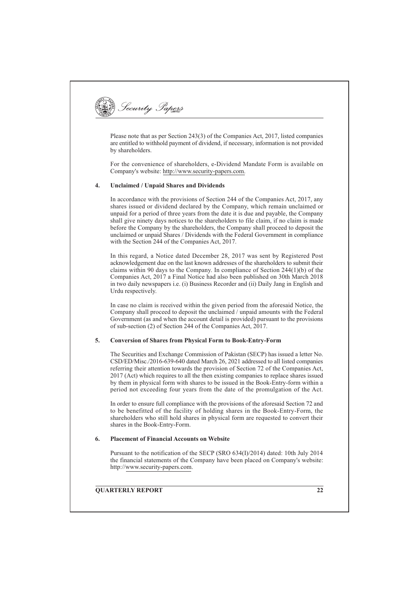

Please note that as per Section 243(3) of the Companies Act, 2017, listed companies are entitled to withhold payment of dividend, if necessary, information is not provided by shareholders.

For the convenience of shareholders, e-Dividend Mandate Form is available on Company's website: http://www.security-papers.com.

#### $4.$ **Unclaimed / Unpaid Shares and Dividends**

In accordance with the provisions of Section 244 of the Companies Act, 2017, any shares issued or dividend declared by the Company, which remain unclaimed or unpaid for a period of three years from the date it is due and payable, the Company shall give ninety days notices to the shareholders to file claim, if no claim is made before the Company by the shareholders, the Company shall proceed to deposit the unclaimed or unpaid Shares / Dividends with the Federal Government in compliance with the Section 244 of the Companies Act, 2017.

In this regard, a Notice dated December 28, 2017 was sent by Registered Post acknowledgement due on the last known addresses of the shareholders to submit their claims within 90 days to the Company. In compliance of Section  $244(1)(b)$  of the Companies Act, 2017 a Final Notice had also been published on 30th March 2018 in two daily newspapers i.e. (i) Business Recorder and (ii) Daily Jang in English and Urdu respectively.

In case no claim is received within the given period from the aforesaid Notice, the Company shall proceed to deposit the unclaimed / unpaid amounts with the Federal Government (as and when the account detail is provided) pursuant to the provisions of sub-section (2) of Section 244 of the Companies Act, 2017.

#### **Conversion of Shares from Physical Form to Book-Entry-Form**  $\overline{5}$ .

The Securities and Exchange Commission of Pakistan (SECP) has issued a letter No. CSD/ED/Misc./2016-639-640 dated March 26, 2021 addressed to all listed companies referring their attention towards the provision of Section 72 of the Companies Act, 2017 (Act) which requires to all the then existing companies to replace shares issued by them in physical form with shares to be issued in the Book-Entry-form within a period not exceeding four years from the date of the promulgation of the Act.

In order to ensure full compliance with the provisions of the aforesaid Section 72 and to be benefitted of the facility of holding shares in the Book-Entry-Form, the shareholders who still hold shares in physical form are requested to convert their shares in the Book-Entry-Form.

#### **Placement of Financial Accounts on Website** 6.

Pursuant to the notification of the SECP (SRO 634(I)/2014) dated: 10th July 2014 the financial statements of the Company have been placed on Company's website: http://www.security-papers.com.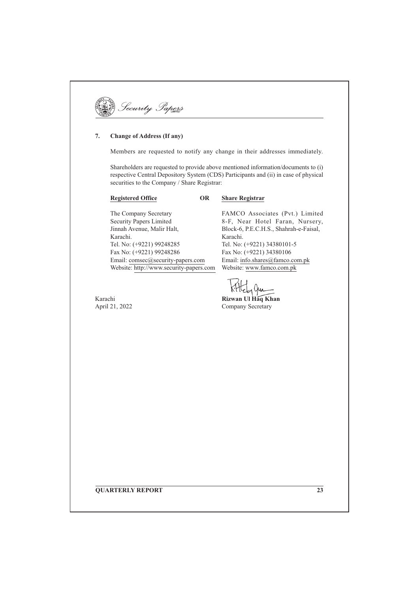| curuu<br><b>AITED</b> |  |
|-----------------------|--|
|-----------------------|--|

#### **Change of Address (If any)** 7.

Members are requested to notify any change in their addresses immediately.

Shareholders are requested to provide above mentioned information/documents to (i) respective Central Depository System (CDS) Participants and (ii) in case of physical securities to the Company / Share Registrar:

**OR** 

## **Registered Office**

### **Share Registrar**

The Company Secretary **Security Papers Limited** Jinnah Avenue, Malir Halt, Karachi. Tel. No: (+9221) 99248285 Fax No: (+9221) 99248286 Email: comsec@security-papers.com Website: http://www.security-papers.com

Karachi April 21, 2022 FAMCO Associates (Pvt.) Limited 8-F, Near Hotel Faran, Nursery, Block-6, P.E.C.H.S., Shahrah-e-Faisal, Karachi. Tel. No: (+9221) 34380101-5 Fax No: (+9221) 34380106 Email: info.shares@famco.com.pk Website: www.famco.com.pk

Rizwan Ul Haq Khan Company Secretary